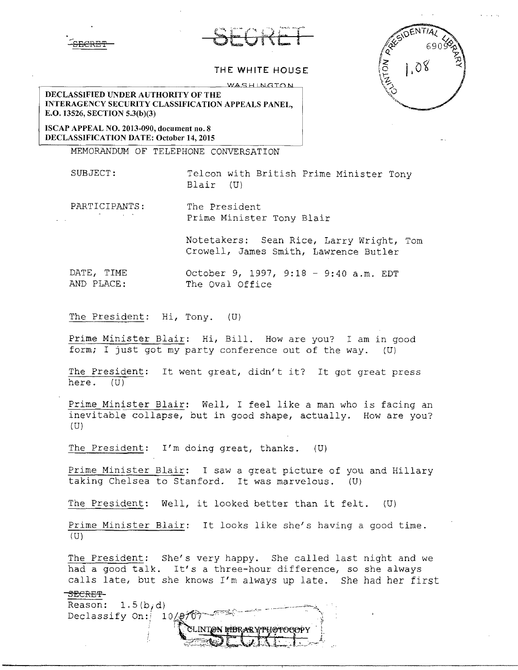





## **THE WHITE HOUSE**

WASHINGTON

**DECLASSIFIED UNDER AUTHORITY OF THE INTERAGENCY SECURITY CLASSIFICATION APPEALS PANEL, E.0.13526, SECTION 5.3(b)(3)** 

**ISCAP APPEAL NO. 2013-090, document no. 8 DECLASSIFICATION DATE: October 14, 2015** 

MEMORANDUM OF TELEPHONE CONVERSATION

SUBJECT: Telcon with British Prime Minister Tony Blair (U)

PARTICIPANTS: The President Prime Minister Tony Blair

Notetakers: Sean Rice, Larry Wright, Tom

Crowell, James Smith, Lawrence Butler

DATE, TIME AND PLACE: October 9, 1997, 9:18 - 9:40 a.m. EDT The Oval Office

The President: Hi, Tony. (U)

Prime Minister Blair: Hi, Bill. How are you? I am in good form; I just got my party conference out of the way. (U)

The President: It went great, didn't it? It got great press here. (U)

Prime Minister Blair: Well, I feel like a man who is facing an inevitable collapse, but in good shape, actually. How are you?  $(U)$ 

The President:  $I'm$  doing great, thanks.  $(U)$ 

Prime Minister Blair: I saw a great picture of you and Hillary taking Chelsea to Stanford. It was marvelous.  $(U)$ 

The President: Well, it looked better than it felt. {U)

Prime Minister Blair: It looks like she's having a good time. (U)

The President: She's very happy. She called last night and we had a good talk. It's a three-hour difference, so she always calls late, but she knows I'm always up late. She had her first

## <del>SECRET'</del>

Reason:  $1.5(b,d)$ Reason:  $1.5(b,d)$ <br>Declassify On:  $10/9707$  The second propriate of  $\sim$  $\mathcal{L} = \{ \mathcal{L} \in \mathcal{L} \mid \mathcal{L} \in \mathcal{L} \}$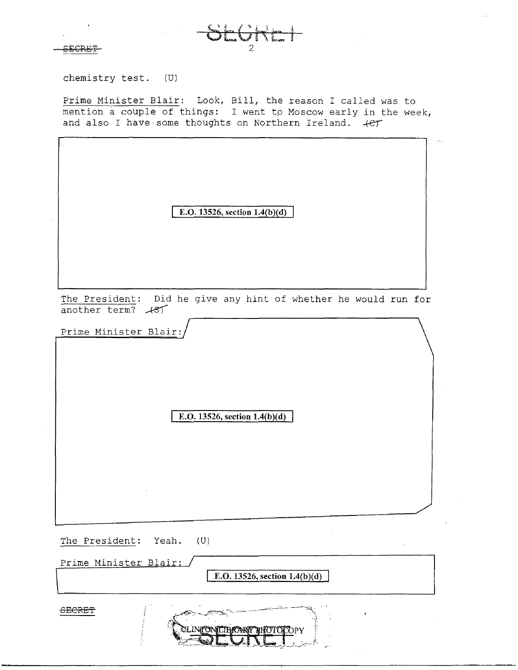£EGRET



chemistry test. (U)

Prime Minister Blair: Look, Bill, the reason I called was to mention a couple of things: I went to Moscow early in the week, and also I have some thoughts on Northern Ireland.  $+e^+$ 

**E.O. 13526, section 1.4(b)(d)** 

The President: Did he give any hint of whether he would run for<br>another term?  $\angle 87$ 

Prime Minister Blair:

**E.O.** 13526, section 1.4(b)(d)

The President: Yeah. (U)

Prime Minister Blair:

E.O. **13526, section l.4(b)(d)** 

**SECRET**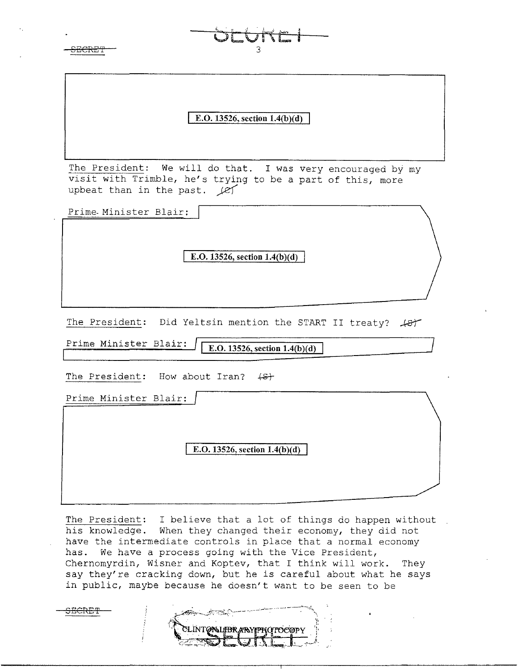<del>SECRET</del>

bt:br"<c *<sup>1</sup>*

**E.O. 13526, section 1.4(b)(d)** 

The President: We will do that. I was very encouraged by my visit with Trimble, he's trying to be a part of this, more upbeat than in the past.  $[2]$ 

Prime-Minister Blair:

**E.O. 13526, section 1.4(b)(d)** 

The President: Did Yeltsin mention the START II treaty?  $\cancel{487}$ 

Prime Minister Blair: **I E.O. 13526, section l.4(b)(d)** 

SECRE'f

The President: How about Iran?  $\{S_t\}$ 

Prime Minister Blair:

**E.O. 13526, section 1.4(b)(d)** 

The President: I believe that a lot of things do happen without his knowledge. When they changed their economy, they did not have the intermediate controls in place that a normal economy has. We have a process going with the Vice President, Chernomyrdin, Wisner and Koptev, that I think will work. They say they're cracking down, but he is careful about what he says in public, maybe because he doesn't want to be seen to be

**ONLIBRANYPHOTOCOPY**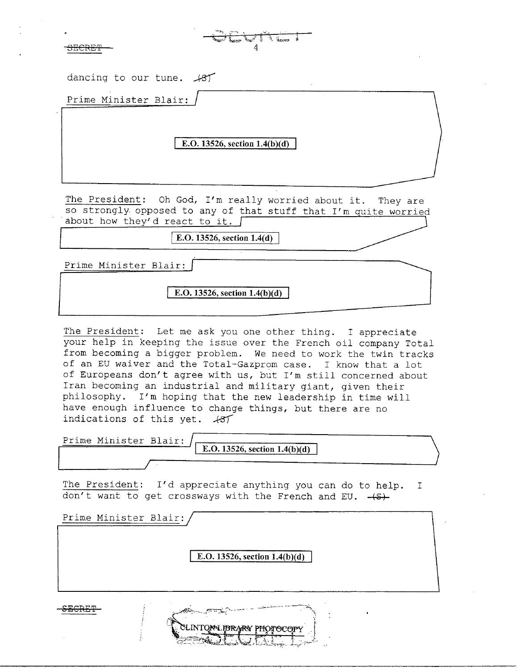| <u>ancor</u> m<br><del>JECKET</del> |  |  |
|-------------------------------------|--|--|

| dancing to our tune. 487                                                                                                                                         |
|------------------------------------------------------------------------------------------------------------------------------------------------------------------|
| Prime Minister Blair:                                                                                                                                            |
| E.O. 13526, section $1.4(b)(d)$                                                                                                                                  |
| The President: Oh God, I'm really worried about it. They are<br>so strongly opposed to any of that stuff that I'm quite worried<br>about how they'd react to it. |
| E.O. 13526, section 1.4(d)                                                                                                                                       |
| Prime Minister Blair:                                                                                                                                            |
| E.O. 13526, section $1.4(b)(d)$                                                                                                                                  |

4

آسي

 $\sqrt{2}$ 

The President: Let me ask you one other thing. I appreciate your help in keeping the issue over the French oil company Total from becoming a bigger problem. We need to work the twin tracks of an EU waiver and the Total-Gazprom case. I know that a lot of Europeans don't agree with us, but I'm still concerned about Iran becoming an industrial and military giant, given their philosophy. I'm hoping that the new leadership in time will have enough influence to change things, but there are no indications of this yet.  $+87$ 

Prime Minister Blair: **E.O.** 13526, section 1.4(b)(d)

The President: I'd appreciate anything you can do to help. don't want to get crossways with the French and EU. - (S)-I

Prime Minister Blair:

**E.O. 13526, section 1.4(b)(d)** 

**IBRARY PHOTOCOP** 

. "\.

**r**  · **l** 

**SECRET** ---~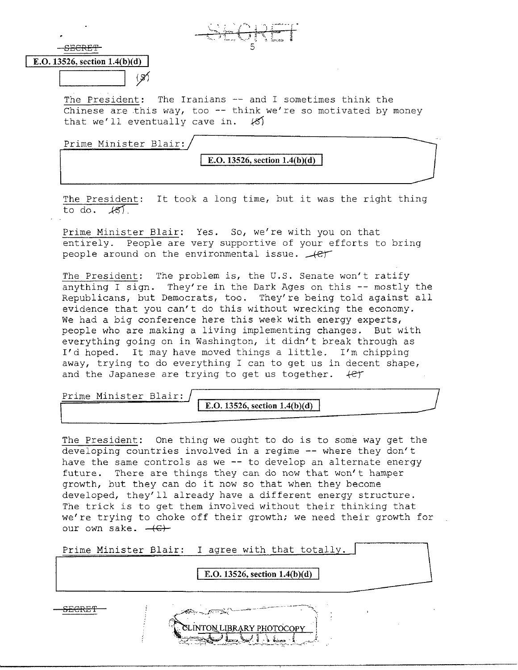SECRET

## **E.O. 13526, section 1.4(b)(d)**

 $\begin{array}{|c|c|} \hline \quad \quad & \end{array}$ 

The President: The Iranians -- and I sometimes think the Chinese are this way, too -- think we're so motivated by money<br>that we'll eventually cave in.  $\mathscr{L}$ that we'll eventually cave in.

Prime Minister Blair:

**E.O. 13526, section l.4(b**)(d)

The President: It took a long time, but it was the right thing to do. *J-51.* 

Prime Minister Blair: Yes. So, we're with you on that entirely. People are very supportive of your efforts to bring people around on the environmental issue.  $\sqrt{c_T}$ 

The President: The problem is, the U.S. Senate won't ratify anything I sign. They're in the Dark Ages on this -- mostly the Republicans, but Democrats, too. They're being told against all evidence that you can't do this without wrecking the economy. We had a big conference here this week with energy experts, people who are making a living implementing changes. But with everything going on in Washington, it didn't break through as I'd hoped. It may have moved things a little. I'm chipping away, trying to do everything I can to get us in decent shape, and the Japanese are trying to get us together.  $+e^+$ 

Prime Minister Blair:

**E.O. 13526, section l.4(b)(d)** 

The President: One thing we ought to do is to some way get the developing countries involved in a regime -- where they don't have the same controls as we -- to develop an alternate energy future. There are things they can do now that won't hamper growth, but they can do it now so that when they become developed, they'll already have a different energy structure. The trick is to get them involved without their thinking that we're trying to choke off their growth; we need their growth for our own sake.  $-\left(\epsilon\right)$ 

Prime Minister Blair: I agree with that totally.

**E.O. 13526, section 1.4(b)(d)** SECRET